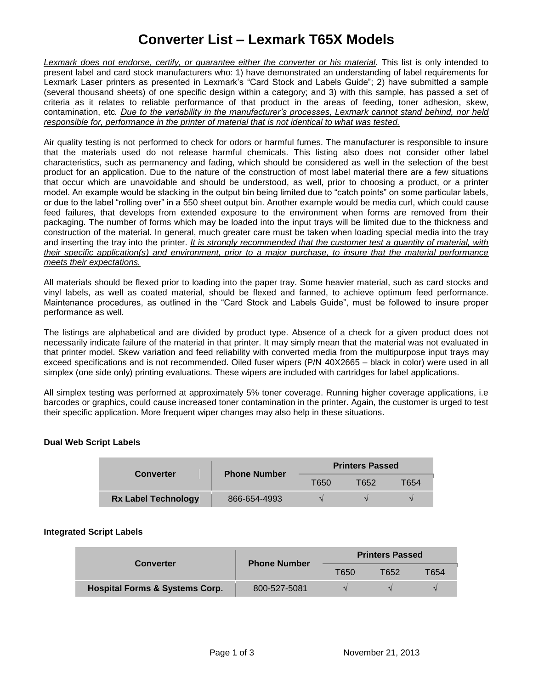# **Converter List – Lexmark T65X Models**

*Lexmark does not endorse, certify, or guarantee either the converter or his material.* This list is only intended to present label and card stock manufacturers who: 1) have demonstrated an understanding of label requirements for Lexmark Laser printers as presented in Lexmark's "Card Stock and Labels Guide"; 2) have submitted a sample (several thousand sheets) of one specific design within a category; and 3) with this sample, has passed a set of criteria as it relates to reliable performance of that product in the areas of feeding, toner adhesion, skew, contamination, etc*. Due to the variability in the manufacturer's processes, Lexmark cannot stand behind, nor held responsible for, performance in the printer of material that is not identical to what was tested.*

Air quality testing is not performed to check for odors or harmful fumes. The manufacturer is responsible to insure that the materials used do not release harmful chemicals. This listing also does not consider other label characteristics, such as permanency and fading, which should be considered as well in the selection of the best product for an application. Due to the nature of the construction of most label material there are a few situations that occur which are unavoidable and should be understood, as well, prior to choosing a product, or a printer model. An example would be stacking in the output bin being limited due to "catch points" on some particular labels, or due to the label "rolling over" in a 550 sheet output bin. Another example would be media curl, which could cause feed failures, that develops from extended exposure to the environment when forms are removed from their packaging. The number of forms which may be loaded into the input trays will be limited due to the thickness and construction of the material. In general, much greater care must be taken when loading special media into the tray and inserting the tray into the printer. *It is strongly recommended that the customer test a quantity of material, with their specific application(s) and environment, prior to a major purchase, to insure that the material performance meets their expectations.*

All materials should be flexed prior to loading into the paper tray. Some heavier material, such as card stocks and vinyl labels, as well as coated material, should be flexed and fanned, to achieve optimum feed performance. Maintenance procedures, as outlined in the "Card Stock and Labels Guide", must be followed to insure proper performance as well.

The listings are alphabetical and are divided by product type. Absence of a check for a given product does not necessarily indicate failure of the material in that printer. It may simply mean that the material was not evaluated in that printer model. Skew variation and feed reliability with converted media from the multipurpose input trays may exceed specifications and is not recommended. Oiled fuser wipers (P/N 40X2665 – black in color) were used in all simplex (one side only) printing evaluations. These wipers are included with cartridges for label applications.

All simplex testing was performed at approximately 5% toner coverage. Running higher coverage applications, i.e barcodes or graphics, could cause increased toner contamination in the printer. Again, the customer is urged to test their specific application. More frequent wiper changes may also help in these situations.

### **Dual Web Script Labels**

| <b>Converter</b>           | <b>Phone Number</b> | <b>Printers Passed</b> |       |      |
|----------------------------|---------------------|------------------------|-------|------|
|                            |                     | T650                   | T652. | Г654 |
| <b>Rx Label Technology</b> | 866-654-4993        |                        |       |      |

### **Integrated Script Labels**

| <b>Converter</b>                          | <b>Phone Number</b> | <b>Printers Passed</b> |      |      |
|-------------------------------------------|---------------------|------------------------|------|------|
|                                           |                     | T650                   | T652 | T654 |
| <b>Hospital Forms &amp; Systems Corp.</b> | 800-527-5081        |                        |      |      |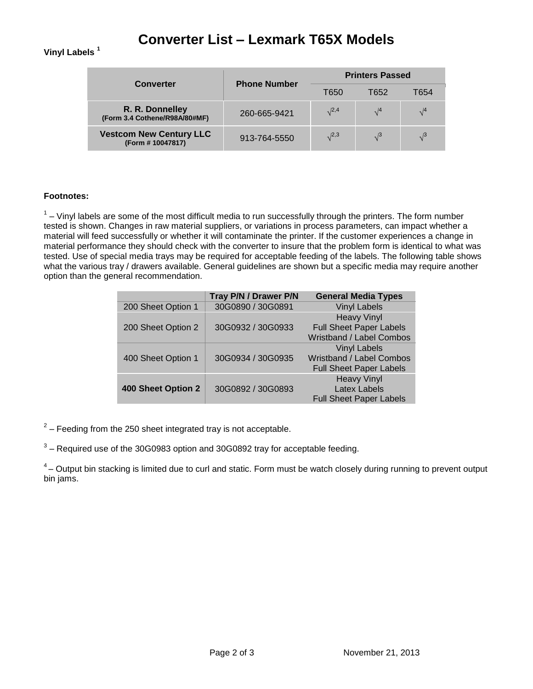## **Converter List – Lexmark T65X Models**

### **Vinyl Labels <sup>1</sup>**

| <b>Converter</b>                                    | <b>Phone Number</b> | <b>Printers Passed</b> |            |            |
|-----------------------------------------------------|---------------------|------------------------|------------|------------|
|                                                     |                     | T650                   | T652       | T654       |
| R. R. Donnelley<br>(Form 3.4 Cothene/R98A/80#MF)    | 260-665-9421        | $\sqrt{2,4}$           | $\sqrt{4}$ | $\sqrt{4}$ |
| <b>Vestcom New Century LLC</b><br>(Form # 10047817) | 913-764-5550        | $\sqrt{2,3}$           | $\sqrt{3}$ | $\sqrt{3}$ |

#### **Footnotes:**

 $1$  – Vinyl labels are some of the most difficult media to run successfully through the printers. The form number tested is shown. Changes in raw material suppliers, or variations in process parameters, can impact whether a material will feed successfully or whether it will contaminate the printer. If the customer experiences a change in material performance they should check with the converter to insure that the problem form is identical to what was tested. Use of special media trays may be required for acceptable feeding of the labels. The following table shows what the various tray / drawers available. General guidelines are shown but a specific media may require another option than the general recommendation.

|                    | Tray P/N / Drawer P/N | <b>General Media Types</b>     |
|--------------------|-----------------------|--------------------------------|
| 200 Sheet Option 1 | 30G0890 / 30G0891     | <b>Vinyl Labels</b>            |
|                    |                       | <b>Heavy Vinyl</b>             |
| 200 Sheet Option 2 | 30G0932 / 30G0933     | <b>Full Sheet Paper Labels</b> |
|                    |                       | Wristband / Label Combos       |
|                    |                       | <b>Vinyl Labels</b>            |
| 400 Sheet Option 1 | 30G0934 / 30G0935     | Wristband / Label Combos       |
|                    |                       | <b>Full Sheet Paper Labels</b> |
|                    |                       | <b>Heavy Vinyl</b>             |
| 400 Sheet Option 2 | 30G0892 / 30G0893     | Latex Labels                   |
|                    |                       | <b>Full Sheet Paper Labels</b> |

 $2$  – Feeding from the 250 sheet integrated tray is not acceptable.

 $3$  – Required use of the 30G0983 option and 30G0892 tray for acceptable feeding.

 $4$  – Output bin stacking is limited due to curl and static. Form must be watch closely during running to prevent output bin jams.